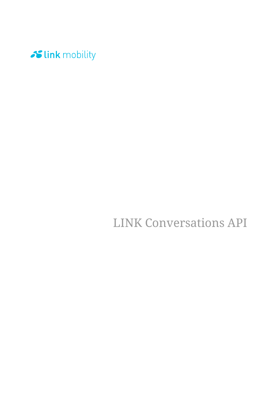

LINK Conversations API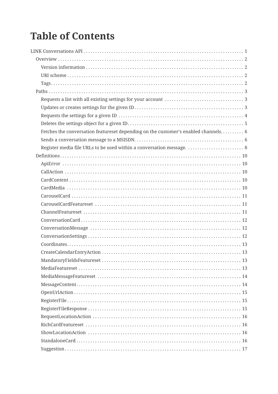# **Table of Contents**

| Fetches the conversation featureset depending on the customer's enabled channels 6 |  |
|------------------------------------------------------------------------------------|--|
|                                                                                    |  |
| Register media file URLs to be used within a conversation message.  8              |  |
|                                                                                    |  |
|                                                                                    |  |
|                                                                                    |  |
|                                                                                    |  |
|                                                                                    |  |
|                                                                                    |  |
|                                                                                    |  |
|                                                                                    |  |
|                                                                                    |  |
|                                                                                    |  |
|                                                                                    |  |
|                                                                                    |  |
|                                                                                    |  |
|                                                                                    |  |
|                                                                                    |  |
|                                                                                    |  |
|                                                                                    |  |
|                                                                                    |  |
|                                                                                    |  |
|                                                                                    |  |
|                                                                                    |  |
|                                                                                    |  |
|                                                                                    |  |
|                                                                                    |  |
|                                                                                    |  |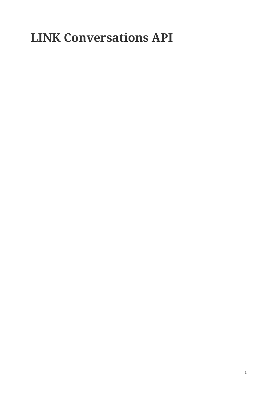# **LINK Conversations API**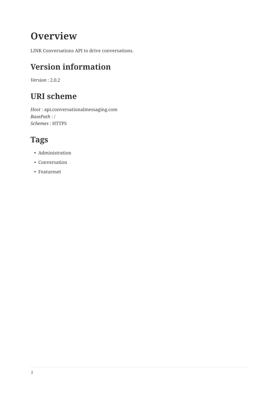# **Overview**

LINK Conversations API to drive conversations.

# **Version information**

*Version* : 2.0.2

# **URI scheme**

*Host* : api.conversationalmessaging.com *BasePath* : / *Schemes* : HTTPS

# **Tags**

- Administration
- Conversation
- Featureset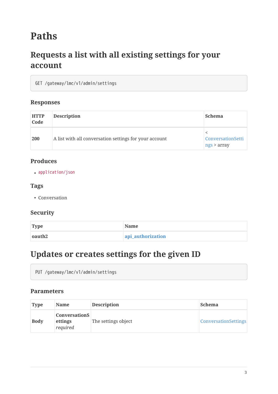# **Paths**

# **Requests a list with all existing settings for your account**

GET /gateway/lmc/v1/admin/settings

#### **Responses**

| <b>HTTP</b><br>Code | <b>Description</b>                                     | <b>Schema</b>                    |
|---------------------|--------------------------------------------------------|----------------------------------|
| 200                 | A list with all conversation settings for your account | ConversationSetti<br>ngs > array |

#### **Produces**

• application/json

### **Tags**

• Conversation

#### **Security**

| <b>Type</b> | <b>Name</b>       |
|-------------|-------------------|
| oauth2      | api_authorization |

### **Updates or creates settings for the given ID**

PUT /gateway/lmc/v1/admin/settings

#### **Parameters**

| <b>Type</b> | <b>Name</b>                                 | <b>Description</b>  | <b>Schema</b>               |
|-------------|---------------------------------------------|---------------------|-----------------------------|
| <b>Body</b> | <b>ConversationS</b><br>ettings<br>required | The settings object | <b>ConversationSettings</b> |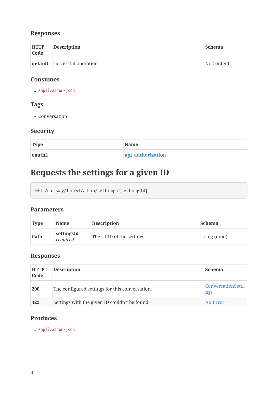### **Responses**

| <b>HTTP</b><br>Code | <b>Description</b>           | <b>Schema</b> |
|---------------------|------------------------------|---------------|
|                     | default successful operation | No Content    |

#### **Consumes**

• application/json

### **Tags**

• Conversation

### **Security**

| <b>Type</b> | <b>Name</b>       |
|-------------|-------------------|
| oauth2      | api_authorization |

# **Requests the settings for a given ID**

GET /gateway/lmc/v1/admin/settings/{settingsId}

#### **Parameters**

| <b>Type</b> | <b>Name</b>            | <b>Description</b>        | <b>Schema</b> |
|-------------|------------------------|---------------------------|---------------|
| Path        | settingsId<br>required | The UUID of the settings. | string (uuid) |

### **Responses**

| <b>HTTP</b><br>Code | <b>Description</b>                             | <b>Schema</b>            |
|---------------------|------------------------------------------------|--------------------------|
| <b>200</b>          | The configured settings for this conversation. | ConversationSetti<br>ngs |
| 422                 | Settings with the given ID couldn't be found   | ApiError                 |

### **Produces**

• application/json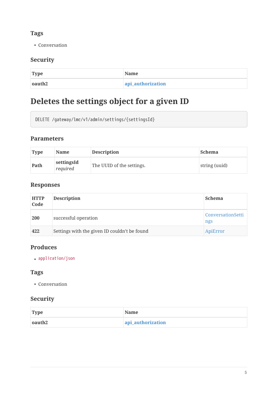### **Tags**

• Conversation

### **Security**

| <b>Type</b> | <b>Name</b>       |
|-------------|-------------------|
| oauth2      | api_authorization |

# **Deletes the settings object for a given ID**

```
DELETE /gateway/lmc/v1/admin/settings/{settingsId}
```
#### **Parameters**

| <b>Type</b> | <b>Name</b>            | <b>Description</b>        | <b>Schema</b> |
|-------------|------------------------|---------------------------|---------------|
| Path        | settingsId<br>required | The UUID of the settings. | string (uuid) |

### **Responses**

| <b>HTTP</b><br>Code | <b>Description</b>                           | <b>Schema</b>            |
|---------------------|----------------------------------------------|--------------------------|
| <b>200</b>          | successful operation                         | ConversationSetti<br>ngs |
| 422                 | Settings with the given ID couldn't be found | ApiError                 |

### **Produces**

• application/json

### **Tags**

• Conversation

### **Security**

| <b>Type</b> | <b>Name</b>       |
|-------------|-------------------|
| oauth2      | api_authorization |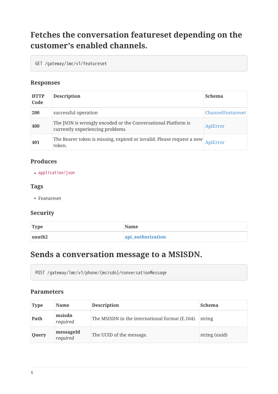# **Fetches the conversation featureset depending on the customer's enabled channels.**

GET /gateway/lmc/v1/featureset

### **Responses**

| <b>HTTP</b><br>Code | <b>Description</b>                                                                                | <b>Schema</b>            |
|---------------------|---------------------------------------------------------------------------------------------------|--------------------------|
| 200                 | successful operation                                                                              | <b>ChannelFeatureset</b> |
| 400                 | The JSON is wrongly encoded or the Conversational Platform is<br>currently experiencing problems. | ApiError                 |
| 401                 | The Bearer token is missing, expired or invalid. Please request a new<br>token.                   | ApiError                 |

### **Produces**

• application/json

#### **Tags**

• Featureset

### **Security**

| Type   | <b>Name</b>       |
|--------|-------------------|
| oauth2 | api_authorization |

### **Sends a conversation message to a MSISDN.**

POST /gateway/lmc/v1/phone/{msisdn}/conversationMessage

#### **Parameters**

| <b>Type</b> | <b>Name</b>           | <b>Description</b>                              | <b>Schema</b> |
|-------------|-----------------------|-------------------------------------------------|---------------|
| Path        | msisdn<br>required    | The MSISDN in the international format (E.164). | string        |
| Query       | messageId<br>required | The UUID of the message.                        | string (uuid) |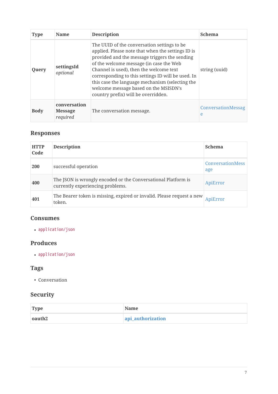| <b>Type</b> | <b>Name</b>                                | <b>Description</b>                                                                                                                                                                                                                                                                                                                                                                                                                | <b>Schema</b>           |
|-------------|--------------------------------------------|-----------------------------------------------------------------------------------------------------------------------------------------------------------------------------------------------------------------------------------------------------------------------------------------------------------------------------------------------------------------------------------------------------------------------------------|-------------------------|
| Query       | settingsId<br>optional                     | The UUID of the conversation settings to be.<br>applied. Please note that when the settings ID is<br>provided and the message triggers the sending<br>of the welcome message (in case the Web<br>Channel is used), then the welcome text<br>corresponding to this settings ID will be used. In<br>this case the language mechanism (selecting the<br>welcome message based on the MSISDN's<br>country prefix) will be overridden. | string (uuid)           |
| <b>Body</b> | conversation<br><b>Message</b><br>required | The conversation message.                                                                                                                                                                                                                                                                                                                                                                                                         | ConversationMessag<br>e |

### **Responses**

| <b>HTTP</b><br>Code | <b>Description</b>                                                                                | <b>Schema</b>                  |
|---------------------|---------------------------------------------------------------------------------------------------|--------------------------------|
| <b>200</b>          | successful operation                                                                              | <b>ConversationMess</b><br>age |
| 400                 | The JSON is wrongly encoded or the Conversational Platform is<br>currently experiencing problems. | ApiError                       |
| 401                 | The Bearer token is missing, expired or invalid. Please request a new<br>token.                   | ApiError                       |

### **Consumes**

• application/json

### **Produces**

• application/json

### **Tags**

• Conversation

### **Security**

| <b>Type</b> | <b>Name</b>       |
|-------------|-------------------|
| oauth2      | api_authorization |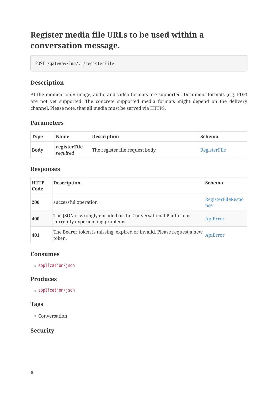# **Register media file URLs to be used within a conversation message.**

POST /gateway/lmc/v1/registerFile

### **Description**

At the moment only image, audio and video formats are supported. Document formats (e.g. PDF) are not yet supported. The concrete supported media formats might depend on the delivery channel. Please note, that all media must be served via HTTPS.

#### **Parameters**

| <b>Type</b> | <b>Name</b>              | <b>Description</b>              | <b>Schema</b> |
|-------------|--------------------------|---------------------------------|---------------|
| <b>Body</b> | registerFile<br>required | The register file request body. | RegisterFile  |

#### **Responses**

| <b>HTTP</b><br>Code | <b>Description</b>                                                                                | <b>Schema</b>            |
|---------------------|---------------------------------------------------------------------------------------------------|--------------------------|
| 200                 | successful operation                                                                              | RegisterFileRespo<br>nse |
| 400                 | The JSON is wrongly encoded or the Conversational Platform is<br>currently experiencing problems. | ApiError                 |
| 401                 | The Bearer token is missing, expired or invalid. Please request a new<br>token.                   | ApiError                 |

#### **Consumes**

• application/json

#### **Produces**

• application/json

#### **Tags**

• Conversation

#### **Security**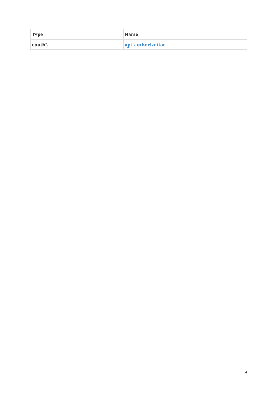| <b>Type</b> | <b>Name</b>       |
|-------------|-------------------|
| oauth2      | api_authorization |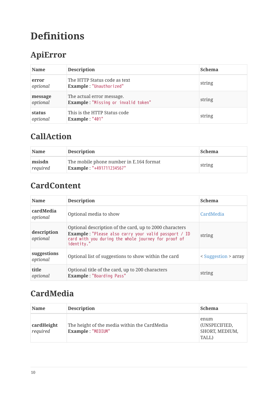# **Definitions**

# **ApiError**

| <b>Name</b>         | <b>Description</b>                                               | <b>Schema</b> |
|---------------------|------------------------------------------------------------------|---------------|
| error<br>optional   | The HTTP Status code as text<br>Example: "Unauthorized"          | string        |
| message<br>optional | The actual error message.<br>Example: "Missing or invalid token" | string        |
| status<br>optional  | This is the HTTP Status code<br>Example: "401"                   | string        |

## **CallAction**

| <b>Name</b>        | <b>Description</b>                                                         | <b>Schema</b> |
|--------------------|----------------------------------------------------------------------------|---------------|
| msisdn<br>required | The mobile phone number in E.164 format<br><b>Example: "+491711234567"</b> | string        |

# **CardContent**

| <b>Name</b>             | <b>Description</b>                                                                                                                                                                          | <b>Schema</b>        |
|-------------------------|---------------------------------------------------------------------------------------------------------------------------------------------------------------------------------------------|----------------------|
| cardMedia<br>optional   | Optional media to show                                                                                                                                                                      | CardMedia            |
| description<br>optional | Optional description of the card, up to 2000 characters<br><b>Example:</b> "Please also carry your valid passport / ID<br>card with you during the whole journey for proof of<br>identity." | string               |
| suggestions<br>optional | Optional list of suggestions to show within the card                                                                                                                                        | < Suggestion > array |
| title<br>optional       | Optional title of the card, up to 200 characters<br><b>Example: "Boarding Pass"</b>                                                                                                         | string               |

# **CardMedia**

| <b>Name</b>            | <b>Description</b>                                                | <b>Schema</b>                                    |
|------------------------|-------------------------------------------------------------------|--------------------------------------------------|
| cardHeight<br>required | The height of the media within the CardMedia<br>Example: "MEDIUM" | enum<br>(UNSPECIFIED,<br>SHORT, MEDIUM,<br>TALL) |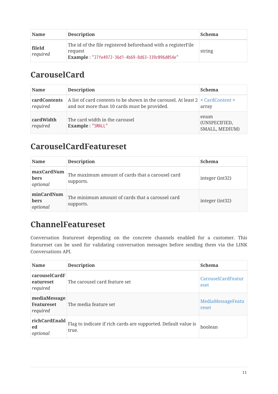| <b>Name</b>        | <b>Description</b>                                                                                                          | <b>Schema</b> |
|--------------------|-----------------------------------------------------------------------------------------------------------------------------|---------------|
| fileId<br>required | The id of the file registered beforehand with a register File<br>request<br>Example: "27fe4972-36d1-4b69-8d63-339c096d054e" | string        |

## **CarouselCard**

| <b>Name</b>                     | <b>Description</b>                                                                                                                | <b>Schema</b>                           |
|---------------------------------|-----------------------------------------------------------------------------------------------------------------------------------|-----------------------------------------|
| <b>cardContents</b><br>required | A list of card contents to be shown in the carousel. At least $2 <$ CardContent ><br>and not more than 10 cards must be provided. | array                                   |
| cardWidth<br>required           | The card width in the carousel<br>Example: "SMALL"                                                                                | enum<br>(UNSPECIFIED,<br>SMALL, MEDIUM) |

### **CarouselCardFeatureset**

| <b>Name</b>                           | <b>Description</b>                                            | <b>Schema</b>   |
|---------------------------------------|---------------------------------------------------------------|-----------------|
| maxCardNum<br>bers<br>optional        | The maximum amount of cards that a carousel card<br>supports. | integer (int32) |
| minCardNum<br><b>bers</b><br>optional | The minimum amount of cards that a carousel card<br>supports. | integer (int32) |

## **ChannelFeatureset**

Conversation featureset depending on the concrete channels enabled for a customer. This featureset can be used for validating conversation messages before sending them via the LINK Conversations API.

| <b>Name</b>                                   | <b>Description</b>                                                      | <b>Schema</b>              |
|-----------------------------------------------|-------------------------------------------------------------------------|----------------------------|
| carouselCardF<br>eatureset<br>required        | The carousel card feature set                                           | CarouselCardFeatur<br>eset |
| mediaMessage<br><b>Featureset</b><br>required | The media feature set                                                   | MediaMessageFeatu<br>reset |
| richCardEnabl<br>ed<br>optional               | Flag to indicate if rich cards are supported. Default value is<br>true. | <b>boolean</b>             |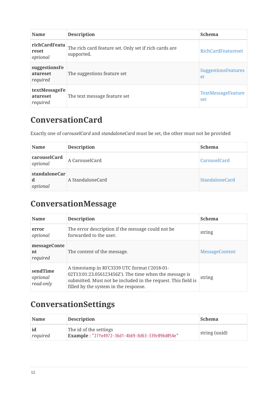| <b>Name</b>                           | <b>Description</b>                                                  | <b>Schema</b>                    |
|---------------------------------------|---------------------------------------------------------------------|----------------------------------|
| richCardFeatu<br>reset<br>optional    | The rich card feature set. Only set if rich cards are<br>supported. | <b>RichCardFeatureset</b>        |
| suggestionsFe<br>atureset<br>required | The suggestions feature set                                         | <b>SuggestionsFeatures</b><br>et |
| textMessageFe<br>atureset<br>required | The text message feature set                                        | TextMessageFeature<br>set        |

### **ConversationCard**

Exactly one of *carouselCard* and *standaloneCard* must be set, the other must not be provided

| <b>Name</b>                    | <b>Description</b> | <b>Schema</b>         |
|--------------------------------|--------------------|-----------------------|
| carouselCard<br>optional       | A CarouselCard     | CarouselCard          |
| standaloneCar<br>d<br>optional | A StandaloneCard   | <b>StandaloneCard</b> |

# **ConversationMessage**

| <b>Name</b>                       | <b>Description</b>                                                                                                                                                                                               | <b>Schema</b>         |
|-----------------------------------|------------------------------------------------------------------------------------------------------------------------------------------------------------------------------------------------------------------|-----------------------|
| error<br>optional                 | The error description if the message could not be<br>forwarded to the user.                                                                                                                                      | string                |
| messageConte<br>nt<br>required    | The content of the message.                                                                                                                                                                                      | <b>MessageContent</b> |
| sendTime<br>optional<br>read-only | A timestamp in RFC3339 UTC format ('2018-01-<br>02T13:01:23.056123456Z'). The time when the message is<br>submitted. Must not be included in the request. This field is<br>filled by the system in the response. | string                |

# **ConversationSettings**

| <b>Name</b>    | <b>Description</b>                                                        | <b>Schema</b> |
|----------------|---------------------------------------------------------------------------|---------------|
| id<br>required | The id of the settings<br>Example: "27fe4972-36d1-4b69-8d63-339c096d054e" | string (uuid) |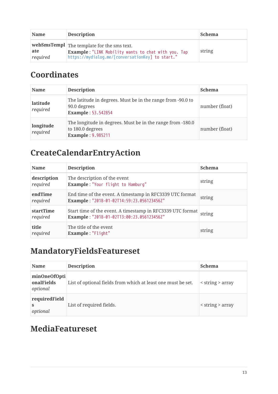| <b>Name</b>     | <b>Description</b>                                                                                                                                                           | <b>Schema</b> |
|-----------------|------------------------------------------------------------------------------------------------------------------------------------------------------------------------------|---------------|
| ate<br>required | $\vert$ webSmsTempl $\vert$ The template for the sms text.<br><b>Example: "LINK Mobility wants to chat with you. Tap</b><br>https://mydialog.me/[conversationKey] to start." | string        |

# **Coordinates**

| <b>Name</b>           | <b>Description</b>                                                                                         | <b>Schema</b>  |
|-----------------------|------------------------------------------------------------------------------------------------------------|----------------|
| latitude<br>required  | The latitude in degrees. Must be in the range from -90.0 to<br>90.0 degrees<br><b>Example: 53.542854</b>   | number (float) |
| longitude<br>required | The longitude in degrees. Must be in the range from -180.0<br>to 180.0 degrees<br><b>Example: 9.985211</b> | number (float) |

# **CreateCalendarEntryAction**

| <b>Name</b>             | <b>Description</b>                                                                                      | <b>Schema</b> |
|-------------------------|---------------------------------------------------------------------------------------------------------|---------------|
| description<br>required | The description of the event<br>Example: "Your flight to Hamburg"                                       | string        |
| endTime<br>required     | End time of the event. A timestamp in RFC3339 UTC format<br>Example: "2018-01-02T14:59:23.056123456Z"   | string        |
| startTime<br>required   | Start time of the event. A timestamp in RFC3339 UTC format<br>Example: "2018-01-02T13:00:23.056123456Z" | string        |
| title<br>required       | The title of the event<br>Example: "Flight"                                                             | string        |

# **MandatoryFieldsFeatureset**

| <b>Name</b>                            | <b>Description</b>                                           | <b>Schema</b>          |
|----------------------------------------|--------------------------------------------------------------|------------------------|
| minOneOfOpti<br>onalFields<br>optional | List of optional fields from which at least one must be set. | $\le$ string $>$ array |
| requiredField<br>optional              | List of required fields.                                     | $\le$ string $>$ array |

# **MediaFeatureset**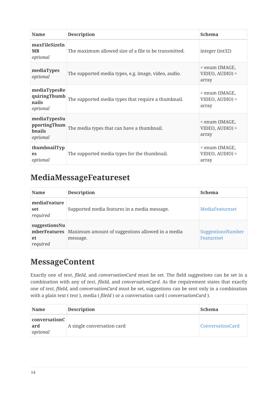| <b>Name</b>                                               | <b>Description</b>                                    | <b>Schema</b>                              |
|-----------------------------------------------------------|-------------------------------------------------------|--------------------------------------------|
| maxFileSizeIn<br><b>MB</b><br>optional                    | The maximum allowed size of a file to be transmitted. | integer (int32)                            |
| mediaTypes<br>optional                                    | The supported media types, e.g. image, video, audio.  | < enum (IMAGE,<br>VIDEO, AUDIO) ><br>array |
| mediaTypesRe<br>quiringThumb<br>nails<br>optional         | The supported media types that require a thumbnail.   | < enum (IMAGE,<br>VIDEO, AUDIO) ><br>array |
| mediaTypesSu<br>pportingThum<br><b>bnails</b><br>optional | The media types that can have a thumbnail.            | < enum (IMAGE,<br>VIDEO, AUDIO) ><br>array |
| thumbnailTyp<br>es<br>optional                            | The supported media types for the thumbnail.          | < enum (IMAGE,<br>VIDEO, AUDIO) ><br>array |

### **MediaMessageFeatureset**

| <b>Name</b>                                     | <b>Description</b>                                           | <b>Schema</b>                          |
|-------------------------------------------------|--------------------------------------------------------------|----------------------------------------|
| mediaFeature<br>set<br>required                 | Supported media features in a media message.                 | <b>MediaFeatureset</b>                 |
| suggestionsNu<br>mberFeatures<br>et<br>required | Maximum amount of suggestions allowed in a media<br>message. | SuggestionsNumber<br><b>Featureset</b> |

### **MessageContent**

Exactly one of *text*, *fileId*, and *conversationCard* must be set. The field *suggestions* can be set in a combination with any of *text*, *fileId*, and *conversationCard*. As the requirement states that exactly one of *text*, *fileId*, and *conversationCard* must be set, suggestions can be sent only in a combination with a plain text ( *text* ), media ( *fileId* ) or a conversation card ( *conversationCard* ).

| <b>Name</b>                      | <b>Description</b>         | <b>Schema</b>           |
|----------------------------------|----------------------------|-------------------------|
| conversationC<br>ard<br>optional | A single conversation card | <b>ConversationCard</b> |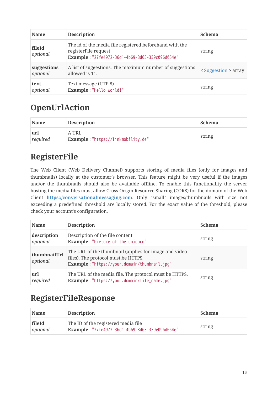| <b>Name</b>             | <b>Description</b>                                                                                                                 | <b>Schema</b>        |
|-------------------------|------------------------------------------------------------------------------------------------------------------------------------|----------------------|
| fileId<br>optional      | The id of the media file registered beforehand with the<br>registerFile request<br>Example: "27fe4972-36d1-4b69-8d63-339c096d054e" | string               |
| suggestions<br>optional | A list of suggestions. The maximum number of suggestions<br>allowed is 11.                                                         | < Suggestion > array |
| text<br>optional        | Text message (UTF-8)<br>Example: "Hello world!"                                                                                    | string               |

## **OpenUrlAction**

| <b>Name</b>     | <b>Description</b>                          | Schema |
|-----------------|---------------------------------------------|--------|
| url<br>required | A URL<br>Example: "https://linkmobility.de" | string |

# **RegisterFile**

The Web Client (Web Delivery Channel) supports storing of media files (only for images and thumbnails) locally at the customer's browser. This feature might be very useful if the images and/or the thumbnails should also be available offline. To enable this functionality the server hosting the media files must allow Cross-Origin Resource Sharing (CORS) for the domain of the Web Client **<https://conversationalmessaging.com>**. Only "small" images/thumbnails with size not exceeding a predefined threshold are locally stored. For the exact value of the threshold, please check your account's configuration.

| <b>Name</b>              | <b>Description</b>                                                                                                                           | <b>Schema</b> |
|--------------------------|----------------------------------------------------------------------------------------------------------------------------------------------|---------------|
| description<br>optional  | Description of the file content<br>Example: "Picture of the unicorn"                                                                         | string        |
| thumbnailUrl<br>optional | The URL of the thumbnail (applies for image and video<br>files). The protocol must be HTTPS.<br>Example: "https://your.domain/thumbnail.jpg" | string        |
| url<br>required          | The URL of the media file. The protocol must be HTTPS.<br>Example: "https://your.domain/file_name.jpg"                                       | string        |

# **RegisterFileResponse**

| <b>Name</b>        | <b>Description</b>                                                                     | <b>Schema</b> |
|--------------------|----------------------------------------------------------------------------------------|---------------|
| fileId<br>optional | The ID of the registered media file<br>Example: "27fe4972-36d1-4b69-8d63-339c096d054e" | string        |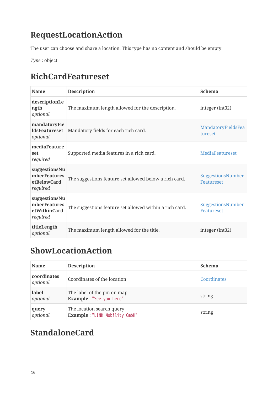# **RequestLocationAction**

The user can choose and share a location. This type has no content and should be empty

*Type* : object

# **RichCardFeatureset**

| <b>Name</b>                                               | <b>Description</b>                                      | <b>Schema</b>                          |
|-----------------------------------------------------------|---------------------------------------------------------|----------------------------------------|
| descriptionLe<br>ngth<br>optional                         | The maximum length allowed for the description.         | integer (int32)                        |
| mandatoryFie<br><b>ldsFeatureset</b><br>optional          | Mandatory fields for each rich card.                    | MandatoryFieldsFea<br>tureset          |
| mediaFeature<br>set<br>required                           | Supported media features in a rich card.                | <b>MediaFeatureset</b>                 |
| suggestionsNu<br>mberFeatures<br>etBelowCard<br>required  | The suggestions feature set allowed below a rich card.  | SuggestionsNumber<br><b>Featureset</b> |
| suggestionsNu<br>mberFeatures<br>etWithinCard<br>required | The suggestions feature set allowed within a rich card. | SuggestionsNumber<br><b>Featureset</b> |
| titleLength<br>optional                                   | The maximum length allowed for the title.               | integer (int32)                        |

# **ShowLocationAction**

| <b>Name</b>             | <b>Description</b>                                         | <b>Schema</b> |
|-------------------------|------------------------------------------------------------|---------------|
| coordinates<br>optional | Coordinates of the location                                | Coordinates   |
| label<br>optional       | The label of the pin on map<br>Example: "See you here"     | string        |
| query<br>optional       | The location search query<br>Example: "LINK Mobility GmbH" | string        |

# **StandaloneCard**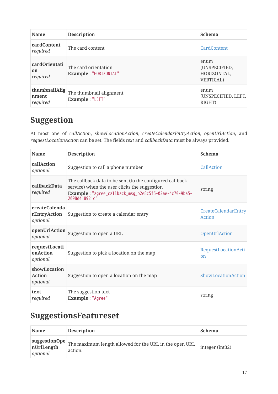| <b>Name</b>                        | <b>Description</b>                            | <b>Schema</b>                                             |
|------------------------------------|-----------------------------------------------|-----------------------------------------------------------|
| <b>cardContent</b><br>required     | The card content                              | <b>CardContent</b>                                        |
| cardOrientati<br>on<br>required    | The card orientation<br>Example: "HORIZONTAL" | enum<br>(UNSPECIFIED,<br>HORIZONTAL,<br><b>VERTICAL</b> ) |
| thumbnailAlig<br>nment<br>required | The thumbnail alignment<br>Example: "LEFT"    | enum<br>(UNSPECIFIED, LEFT,<br>RIGHT)                     |

# **Suggestion**

At most one of *callAction*, *showLocationAction*, *createCalendarEntryAction*, *openUrlAction*, and *requestLocationAction* can be set. The fields *text* and *callbackData* must be always provided.

| <b>Name</b>                               | <b>Description</b>                                                                                                                                                                 | <b>Schema</b>                        |
|-------------------------------------------|------------------------------------------------------------------------------------------------------------------------------------------------------------------------------------|--------------------------------------|
| callAction<br>optional                    | Suggestion to call a phone number                                                                                                                                                  | CallAction                           |
| callbackData<br>required                  | The callback data to be sent (to the configured callback<br>service) when the user clicks the suggestion<br>Example: "agree_callback_msg_b2e8c5f5-02ae-4c70-9ba5-<br>2098d418921c" | string                               |
| createCalenda<br>rEntryAction<br>optional | Suggestion to create a calendar entry                                                                                                                                              | CreateCalendarEntry<br>Action        |
| openUrlAction<br>optional                 | Suggestion to open a URL                                                                                                                                                           | OpenUrlAction                        |
| requestLocati<br>onAction<br>optional     | Suggestion to pick a location on the map                                                                                                                                           | RequestLocationActi<br><sub>on</sub> |
| showLocation<br><b>Action</b><br>optional | Suggestion to open a location on the map                                                                                                                                           | ShowLocationAction                   |
| text<br>required                          | The suggestion text<br>Example: "Agree"                                                                                                                                            | string                               |

### **SuggestionsFeatureset**

| <b>Name</b>                             | <b>Description</b>                                                | <b>Schema</b>       |
|-----------------------------------------|-------------------------------------------------------------------|---------------------|
| suggestionOpe<br>nUrlLength<br>optional | The maximum length allowed for the URL in the open URL<br>action. | $ $ integer (int32) |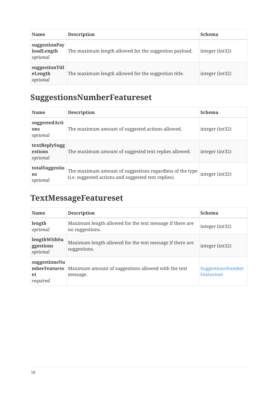| <b>Name</b>                             | <b>Description</b>                                     | <b>Schema</b>   |
|-----------------------------------------|--------------------------------------------------------|-----------------|
| suggestionPay<br>loadLength<br>optional | The maximum length allowed for the suggestion payload. | integer (int32) |
| suggestionTitl<br>eLength<br>optional   | The maximum length allowed for the suggestion title.   | integer (int32) |

# **SuggestionsNumberFeatureset**

| <b>Name</b>                          | <b>Description</b>                                                                                               | <b>Schema</b>   |
|--------------------------------------|------------------------------------------------------------------------------------------------------------------|-----------------|
| suggestedActi<br>ons<br>optional     | The maximum amount of suggested actions allowed.                                                                 | integer (int32) |
| textReplySugg<br>estions<br>optional | The maximum amount of suggested text replies allowed.                                                            | integer (int32) |
| totalSuggestio<br>ns<br>optional     | The maximum amount of suggestions regardless of the type<br>(i.e. suggested actions and suggested text replies). | integer (int32) |

# **TextMessageFeatureset**

| <b>Name</b>                                     | <b>Description</b>                                                          | <b>Schema</b>                          |
|-------------------------------------------------|-----------------------------------------------------------------------------|----------------------------------------|
| length<br>optional                              | Maximum length allowed for the text message if there are<br>no suggestions. | integer (int32)                        |
| lengthWithSu<br>ggestions<br>optional           | Maximum length allowed for the text message if there are<br>suggestions.    | integer (int32)                        |
| suggestionsNu<br>mberFeatures<br>et<br>required | Maximum amount of suggestions allowed with the text<br>message.             | SuggestionsNumber<br><b>Featureset</b> |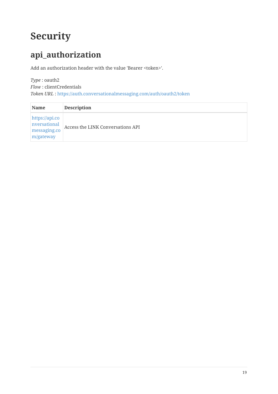# **Security**

# **api\_authorization**

Add an authorization header with the value 'Bearer <token>'.

#### *Type* : oauth2 *Flow* : clientCredentials *Token URL* : <https://auth.conversationalmessaging.com/auth/oauth2/token>

| <b>Name</b>                                                 | <b>Description</b>                |
|-------------------------------------------------------------|-----------------------------------|
| https://api.co<br>nversational<br>messaging.co<br>m/gateway | Access the LINK Conversations API |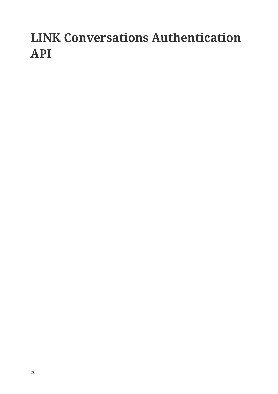# **LINK Conversations Authentication API**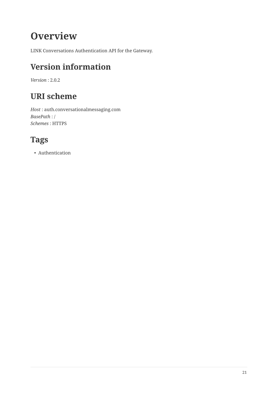# **Overview**

LINK Conversations Authentication API for the Gateway.

# **Version information**

*Version* : 2.0.2

# **URI scheme**

*Host* : auth.conversationalmessaging.com *BasePath* : / *Schemes* : HTTPS

# **Tags**

• Authentication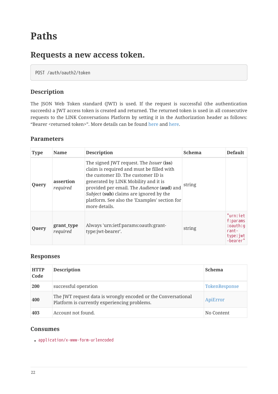# **Paths**

### **Requests a new access token.**

POST /auth/oauth2/token

### **Description**

The JSON Web Token standard (JWT) is used. If the request is successful (the authentication succeeds) a JWT access token is created and returned. The returned token is used in all consecutive requests to the LINK Conversations Platform by setting it in the Authorization header as follows: "Bearer <returned token>". More details can be found [here](https://developers.google.com/identity/protocols/OAuth2ServiceAccount) and [here](https://jwt.io/introduction/).

#### **Parameters**

| <b>Type</b> | <b>Name</b>            | <b>Description</b>                                                                                                                                                                                                                                                                                                                     | <b>Schema</b> | <b>Default</b>                                                        |
|-------------|------------------------|----------------------------------------------------------------------------------------------------------------------------------------------------------------------------------------------------------------------------------------------------------------------------------------------------------------------------------------|---------------|-----------------------------------------------------------------------|
| Query       | assertion<br>required  | The signed JWT request. The <i>Issuer</i> (iss)<br>claim is required and must be filled with<br>the customer ID. The customer ID is<br>generated by LINK Mobility and it is<br>provided per email. The Audience (aud) and<br>Subject (sub) claims are ignored by the<br>platform. See also the 'Examples' section for<br>more details. | string        |                                                                       |
| Query       | grant_type<br>required | Always 'urn:ietf:params:oauth:grant-<br>type:jwt-bearer'.                                                                                                                                                                                                                                                                              | string        | "urn:iet<br>f:params<br>:oauth:g<br>$rant -$<br>type: jwt<br>-bearer" |

#### **Responses**

| <b>HTTP</b><br>Code | <b>Description</b>                                                                                            | <b>Schema</b> |
|---------------------|---------------------------------------------------------------------------------------------------------------|---------------|
| <b>200</b>          | successful operation                                                                                          | TokenResponse |
| 400                 | The JWT request data is wrongly encoded or the Conversational<br>Platform is currently experiencing problems. | ApiError      |
| 403                 | Account not found.                                                                                            | No Content    |

#### **Consumes**

• application/x-www-form-urlencoded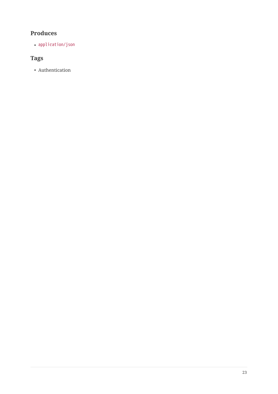### **Produces**

• application/json

### **Tags**

• Authentication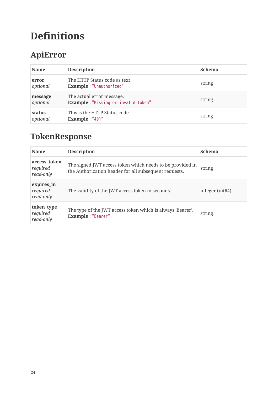# **Definitions**

# **ApiError**

| <b>Name</b>         | <b>Description</b>                                               | <b>Schema</b> |
|---------------------|------------------------------------------------------------------|---------------|
| error<br>optional   | The HTTP Status code as text<br>Example: "Unauthorized"          | string        |
| message<br>optional | The actual error message.<br>Example: "Missing or invalid token" | string        |
| status<br>optional  | This is the HTTP Status code<br>Example: "401"                   | string        |

# **TokenResponse**

| <b>Name</b>                           | <b>Description</b>                                                                                                 | <b>Schema</b>   |
|---------------------------------------|--------------------------------------------------------------------------------------------------------------------|-----------------|
| access_token<br>required<br>read-only | The signed JWT access token which needs to be provided in<br>the Authorization header for all subsequent requests. | string          |
| expires_in<br>required<br>read-only   | The validity of the JWT access token in seconds.                                                                   | integer (int64) |
| token_type<br>required<br>read-only   | The type of the JWT access token which is always 'Bearer'.<br>Example: "Bearer"                                    | string          |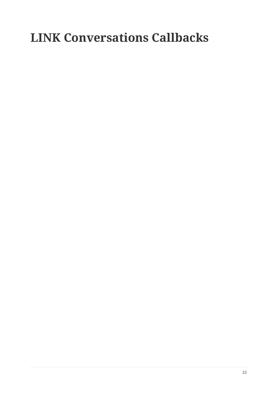# **LINK Conversations Callbacks**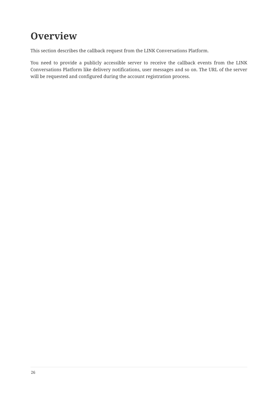# **Overview**

This section describes the callback request from the LINK Conversations Platform.

You need to provide a publicly accessible server to receive the callback events from the LINK Conversations Platform like delivery notifications, user messages and so on. The URL of the server will be requested and configured during the account registration process.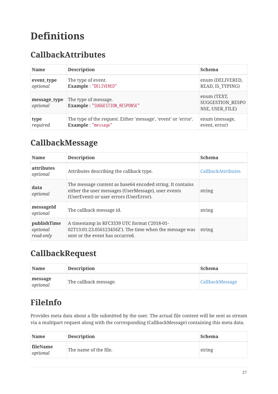# **Definitions**

## **CallbackAttributes**

| <b>Name</b>              | <b>Description</b>                                             | <b>Schema</b>                                             |
|--------------------------|----------------------------------------------------------------|-----------------------------------------------------------|
| event_type               | The type of event.                                             | enum (DELIVERED,                                          |
| optional                 | Example: "DELIVERED"                                           | READ, IS_TYPING)                                          |
| message_type<br>optional | The type of message.<br>Example: "SUGGESTION_RESPONSE"         | enum (TEXT,<br><b>SUGGESTION RESPO</b><br>NSE, USER FILE) |
| type                     | The type of the request. Either 'message', 'event' or 'error'. | enum (message,                                            |
| required                 | Example: "message"                                             | event, error)                                             |

### **CallbackMessage**

| <b>Name</b>                          | <b>Description</b>                                                                                                                                           | <b>Schema</b>             |
|--------------------------------------|--------------------------------------------------------------------------------------------------------------------------------------------------------------|---------------------------|
| <i>attributes</i><br>optional        | Attributes describing the callback type.                                                                                                                     | <b>CallbackAttributes</b> |
| data<br>optional                     | The message content as base 64 encoded string. It contains<br>either the user messages (UserMessage), user events<br>(UserEvent) or user errors (UserError). | string                    |
| messageId<br>optional                | The callback message id.                                                                                                                                     | string                    |
| publishTime<br>optional<br>read-only | A timestamp in RFC3339 UTC format ('2018-01-<br>02T13:01:23.056123456Z'). The time when the message was<br>sent or the event has occurred.                   | string                    |

### **CallbackRequest**

| <b>Name</b>         | <b>Description</b>    | <b>Schema</b>   |
|---------------------|-----------------------|-----------------|
| message<br>optional | The callback message. | CallbackMessage |

# **FileInfo**

Provides meta data about a file submitted by the user. The actual file content will be sent as stream via a multipart request along with the corresponding (CallbackMessage) containing this meta data.

| <b>Name</b>          | <b>Description</b>    | <b>Schema</b> |
|----------------------|-----------------------|---------------|
| fileName<br>optional | The name of the file. | string        |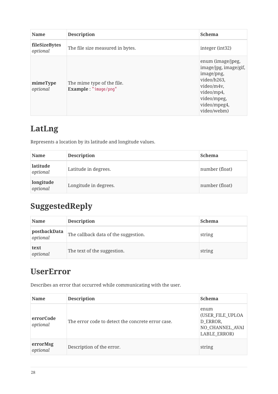| <b>Name</b>               | <b>Description</b>                                 | <b>Schema</b>                                                                                                                                     |
|---------------------------|----------------------------------------------------|---------------------------------------------------------------------------------------------------------------------------------------------------|
| fileSizeBytes<br>optional | The file size measured in bytes.                   | integer (int32)                                                                                                                                   |
| mimeType<br>optional      | The mime type of the file.<br>Example: "image/png" | enum (image/jpeg,<br>image/jpg, image/gif,<br>image/png,<br>video/h263,<br>video/m4v,<br>video/mp4,<br>video/mpeg,<br>video/mpeg4,<br>video/webm) |

# **LatLng**

Represents a location by its latitude and longitude values.

| <b>Name</b>           | <b>Description</b>    | <b>Schema</b>  |
|-----------------------|-----------------------|----------------|
| latitude<br>optional  | Latitude in degrees.  | number (float) |
| longitude<br>optional | Longitude in degrees. | number (float) |

# **SuggestedReply**

| <b>Name</b>              | <b>Description</b>                   | <b>Schema</b> |
|--------------------------|--------------------------------------|---------------|
| postbackData<br>optional | The callback data of the suggestion. | string        |
| text<br>optional         | The text of the suggestion.          | string        |

## **UserError**

Describes an error that occurred while communicating with the user.

| <b>Name</b>           | <b>Description</b>                                | <b>Schema</b>                                                                  |
|-----------------------|---------------------------------------------------|--------------------------------------------------------------------------------|
| errorCode<br>optional | The error code to detect the concrete error case. | enum<br>(USER FILE UPLOA<br>D ERROR,<br>NO CHANNEL AVAI<br><b>LABLE ERROR)</b> |
| errorMsg<br>optional  | Description of the error.                         | string                                                                         |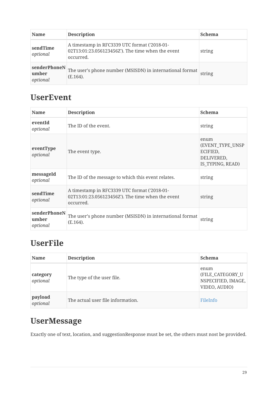| <b>Name</b>                       | <b>Description</b>                                                                                             | <b>Schema</b> |
|-----------------------------------|----------------------------------------------------------------------------------------------------------------|---------------|
| sendTime<br>optional              | A timestamp in RFC3339 UTC format ('2018-01-<br>02T13:01:23.056123456Z'). The time when the event<br>occurred. | string        |
| senderPhoneN<br>umber<br>optional | The user's phone number (MSISDN) in international format<br>$(E.164)$ .                                        | string        |

## **UserEvent**

| <b>Name</b>                       | <b>Description</b>                                                                                             | <b>Schema</b>                                                          |
|-----------------------------------|----------------------------------------------------------------------------------------------------------------|------------------------------------------------------------------------|
| eventId<br>optional               | The ID of the event.                                                                                           | string                                                                 |
| eventType<br>optional             | The event type.                                                                                                | enum<br>(EVENT_TYPE_UNSP<br>ECIFIED,<br>DELIVERED,<br>IS TYPING, READ) |
| messageId<br>optional             | The ID of the message to which this event relates.                                                             | string                                                                 |
| sendTime<br>optional              | A timestamp in RFC3339 UTC format ('2018-01-<br>02T13:01:23.056123456Z'). The time when the event<br>occurred. | string                                                                 |
| senderPhoneN<br>umber<br>optional | The user's phone number (MSISDN) in international format<br>$(E.164)$ .                                        | string                                                                 |

# **UserFile**

| <b>Name</b>          | <b>Description</b>                | <b>Schema</b>                                                   |
|----------------------|-----------------------------------|-----------------------------------------------------------------|
| category<br>optional | The type of the user file.        | enum<br>(FILE_CATEGORY_U<br>NSPECIFIED, IMAGE,<br>VIDEO, AUDIO) |
| payload<br>optional  | The actual user file information. | FileInfo                                                        |

# **UserMessage**

Exactly one of text, location, and suggestionResponse must be set, the others must nost be provided.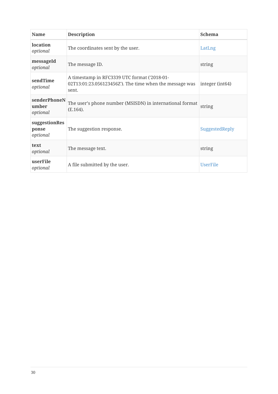| <b>Name</b>                        | <b>Description</b>                                                                                               | <b>Schema</b>               |
|------------------------------------|------------------------------------------------------------------------------------------------------------------|-----------------------------|
| location<br>optional               | The coordinates sent by the user.                                                                                | LatLng                      |
| messageId<br>optional              | The message ID.                                                                                                  | string                      |
| sendTime<br>optional               | A timestamp in RFC3339 UTC format ('2018-01-<br>02T13:01:23.056123456Z'). The time when the message was<br>sent. | integer (int <sub>64)</sub> |
| senderPhoneN<br>umber<br>optional  | The user's phone number (MSISDN) in international format<br>(E.164).                                             | string                      |
| suggestionRes<br>ponse<br>optional | The suggestion response.                                                                                         | SuggestedReply              |
| text<br>optional                   | The message text.                                                                                                | string                      |
| userFile<br>optional               | A file submitted by the user.                                                                                    | <b>UserFile</b>             |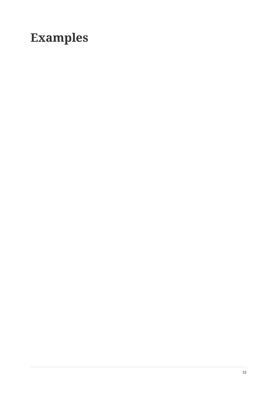# **Examples**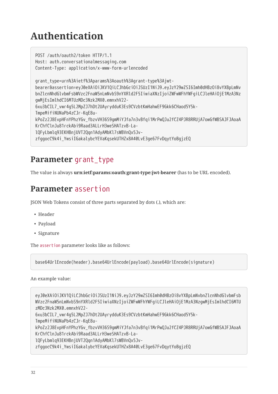# **Authentication**

POST /auth/oauth2/token HTTP/1.1 Host: auth.conversationalmessaging.com Content-Type: application/x-www-form-urlencoded grant\_type=urn%3Aietf%3Aparams%3Aoauth%3Agrant-type%3Ajwtbearer&assertion=eyJ0eXAiOiJKV1QiLCJhbGciOiJSUzI1NiJ9.eyJzY29wZSI6Imh0dHBzOi8vYXBpLmNv bnZlcnNhdGlvbmFsbWVzc2FnaW5nLmNvbS9nYXRld2F5IiwiaXNzIjoiZWFwWFhYWFgiLCJleHAiOjE1MzA3Nz gwMjEsImlhdCI6MTUzMDc3Nzk2MX0.emnxhV22- 6xu3bCIL7\_vwr4g5L2MpZJ7hDt2UAyrydduK3Es9CVzbtKmHahwEF9Gkk6CHaod5Y5k-TmpeMifiNUNaPb4zCJr-KqE8ukPoZz2J8EvpHFnYPhzYGv\_fbzvVH36S9gmMiYJfa7n3vBfqi1MrPwQJu2fCZ4PJR8RRUjA7owGfWBSAJFJAoaA KrChfClnJu81rckAbi9Raad3ALLrH3weSHATzvB-LalQFyLbmlq93EKHBnjUVT2Qqn1AdyAMbKl7sWBVnQx5JvzfggocC9k4i\_YwsiIGakalybcYEVaKqsekUTHZx8A40LvE3ge67FvDqytYoBgjzEQ

### **Parameter** grant\_type

The value is always **urn:ietf:params:oauth:grant-type:jwt-bearer** (has to be URL encoded).

### **Parameter** assertion

JSON Web Tokens consist of three parts separated by dots (.), which are:

- Header
- Payload
- Signature

The assertion parameter looks like as follows:

base64UrlEncode(header).base64UrlEncode(payload).base64UrlEncode(signature)

An example value:

eyJ0eXAiOiJKV1QiLCJhbGciOiJSUzI1NiJ9.eyJzY29wZSI6Imh0dHBzOi8vYXBpLmNvbnZlcnNhdGlvbmFsb WVzc2FnaW5nLmNvbS9nYXRld2F5IiwiaXNzIjoiZWFwWFhYWFgiLCJleHAiOjE1MzA3NzgwMjEsImlhdCI6MTU zMDc3Nzk2MX0.emnxhV22- 6xu3bCIL7\_vwr4g5L2MpZJ7hDt2UAyrydduK3Es9CVzbtKmHahwEF9Gkk6CHaod5Y5k-

TmpeMifiNUNaPb4zCJr-KqE8u-

kPoZz2J8EvpHFnYPhzYGv\_fbzvVH36S9gmMiYJfa7n3vBfqi1MrPwQJu2fCZ4PJR8RRUjA7owGfWBSAJFJAoaA KrChfClnJu81rckAbi9Raad3ALLrH3weSHATzvB-La-

lQFyLbmlq93EKHBnjUVT2Qqn1AdyAMbKl7sWBVnQx5Jv-

zfggocC9k4i\_YwsiIGakalybcYEVaKqsekUTHZx8A40LvE3ge67FvDqytYoBgjzEQ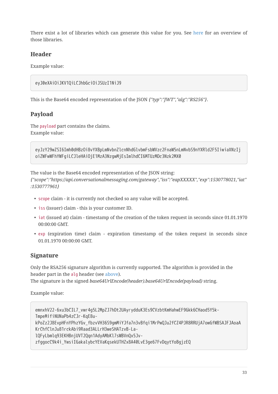There exist a lot of libraries which can generate this value for you. See [here](https://jwt.io/%23libraries-io) for an overview of those libraries.

### **Header**

Example value:

```
eyJ0eXAiOiJKV1QiLCJhbGciOiJSUzI1NiJ9
```
This is the Base64 encoded representation of the JSON *{"typ":"JWT","alg":"RS256"}*.

### **Payload**

The payload part contains the claims. Example value:

eyJzY29wZSI6Imh0dHBzOi8vYXBpLmNvbnZlcnNhdGlvbmFsbWVzc2FnaW5nLmNvbS9nYXRld2F5IiwiaXNzIj oiZWFwWFhYWFgiLCJleHAiOjE1MzA3NzgwMjEsImlhdCI6MTUzMDc3Nzk2MX0

The value is the Base64 encoded representation of the JSON string: *{"scope":"https://api.conversationalmessaging.com/gateway","iss":"eapXXXXX","exp":1530778021,"iat" :1530777961}*

- scope claim it is currently not checked so any value will be accepted.
- iss (issuer) claim this is your customer ID.
- iat (issued at) claim timestamp of the creation of the token request in seconds since 01.01.1970 00:00:00 GMT.
- exp (expiration time) claim expiration timestamp of the token request in seconds since 01.01.1970 00:00:00 GMT.

### **Signature**

Only the RSA256 signature algorithm is currently supported. The algorithm is provided in the header part in the alg header (see above).

The signature is the signed *base64UrlEncode(header).base64UrlEncode(payload)* string.

Example value:

emnxhV22-6xu3bCIL7\_vwr4g5L2MpZJ7hDt2UAyrydduK3Es9CVzbtKmHahwEF9Gkk6CHaod5Y5k-TmpeMifiNUNaPb4zCJr-KqE8ukPoZz2J8EvpHFnYPhzYGv\_fbzvVH36S9gmMiYJfa7n3vBfqi1MrPwQJu2fCZ4PJR8RRUjA7owGfWBSAJFJAoaA KrChfClnJu81rckAbi9Raad3ALLrH3weSHATzvB-LalQFyLbmlq93EKHBnjUVT2Qqn1AdyAMbKl7sWBVnQx5JvzfggocC9k4i\_YwsiIGakalybcYEVaKqsekUTHZx8A40LvE3ge67FvDqytYoBgjzEQ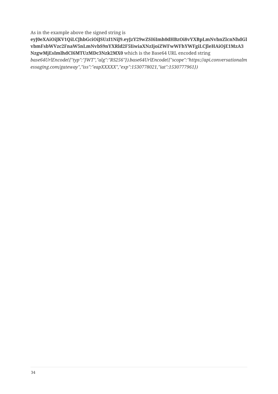As in the example above the signed string is

**eyJ0eXAiOiJKV1QiLCJhbGciOiJSUzI1NiJ9.eyJzY29wZSI6Imh0dHBzOi8vYXBpLmNvbnZlcnNhdGl vbmFsbWVzc2FnaW5nLmNvbS9nYXRld2F5IiwiaXNzIjoiZWFwWFhYWFgiLCJleHAiOjE1MzA3 NzgwMjEsImlhdCI6MTUzMDc3Nzk2MX0** which is the Base64 URL encoded string

*base64UrlEncode({"typ":"JWT","alg":"RS256"}).base64UrlEncode({"scope":"https://api.conversationalm essaging.com/gateway","iss":"eapXXXXX","exp":1530778021,"iat":1530777961})*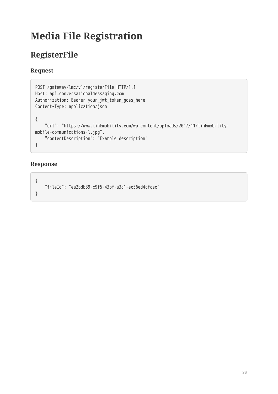# **Media File Registration**

# **RegisterFile**

### **Request**

```
POST /gateway/lmc/v1/registerFile HTTP/1.1
Host: api.conversationalmessaging.com
Authorization: Bearer your_jwt_token_goes_here
Content-Type: application/json
{
     "url": "https://www.linkmobility.com/wp-content/uploads/2017/11/linkmobility-
mobile-communications-l.jpg",
     "contentDescription": "Example description"
}
```

```
{
     "fileId": "ea2bdb89-c9f5-43bf-a3c1-ec56ed4afaec"
}
```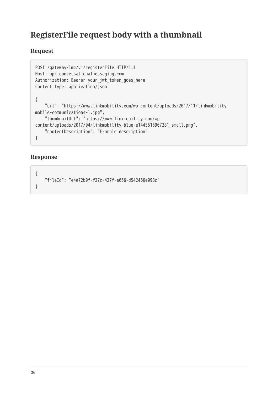### **RegisterFile request body with a thumbnail**

### **Request**

```
POST /gateway/lmc/v1/registerFile HTTP/1.1
Host: api.conversationalmessaging.com
Authorization: Bearer your_jwt_token_goes_here
Content-Type: application/json
{
     "url": "https://www.linkmobility.com/wp-content/uploads/2017/11/linkmobility-
mobile-communications-l.jpg",
     "thumbnailUrl": "https://www.linkmobility.com/wp-
content/uploads/2017/04/linkmobility-blue-e1445516907281_small.png",
     "contentDescription": "Example description"
}
```

```
{
     "fileId": "e4e72b0f-f27c-427f-a066-d542466e098c"
}
```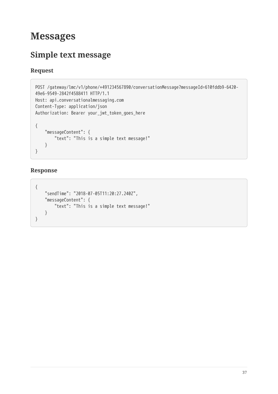# **Messages**

# **Simple text message**

### **Request**

```
POST /gateway/lmc/v1/phone/+491234567890/conversationMessage?messageId=610fddb9-6420-
49e6-9549-2842f4588411 HTTP/1.1
Host: api.conversationalmessaging.com
Content-Type: application/json
Authorization: Bearer your_jwt_token_goes_here
{
     "messageContent": {
         "text": "This is a simple text message!"
     }
}
```

```
{
     "sendTime": "2018-07-05T11:20:27.240Z",
     "messageContent": {
         "text": "This is a simple text message!"
     }
}
```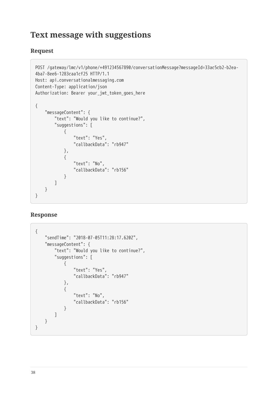### **Text message with suggestions**

### **Request**

```
POST /gateway/lmc/v1/phone/+491234567890/conversationMessage?messageId=33ac5cb2-b2ea-
4ba7-8ee6-1283caa1cf25 HTTP/1.1
Host: api.conversationalmessaging.com
Content-Type: application/json
Authorization: Bearer your_jwt_token_goes_here
{
     "messageContent": {
         "text": "Would you like to continue?",
         "suggestions": [
 \{ "text": "Yes",
                "callbackData": "rb947"
            },
 \{ "text": "No",
                "callbackData": "rb156"
  }
        ]
    }
}
```

```
{
    "sendTime": "2018-07-05T11:28:17.620Z",
    "messageContent": {
        "text": "Would you like to continue?",
        "suggestions": [
 \{ "text": "Yes",
                "callbackData": "rb947"
            },
 \{ "text": "No",
                "callbackData": "rb156"
  }
        ]
    }
}
```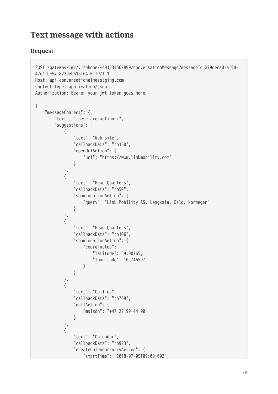### **Text message with actions**

```
POST /gateway/lmc/v1/phone/+491234567890/conversationMessage?messageId=a79deca0-af90-
47e1-bc57-822deb516f64 HTTP/1.1
Host: api.conversationalmessaging.com
Content-Type: application/json
Authorization: Bearer your_jwt_token_goes_here
{
    "messageContent": {
        "text": "These are actions:",
        "suggestions": [
 \{ "text": "Web site",
                "callbackData": "rb160",
                "openUrlAction": {
                   "url": "https://www.linkmobility.com"
  }
            },
 \{ "text": "Head Quarters",
                "callbackData": "rb50",
                "showLocationAction": {
                   "query": "Link Mobility AS, Langkaia, Oslo, Norwegen"
  }
           },
 \{ "text": "Head Quarters",
                "callbackData": "rb106",
                "showLocationAction": {
                   "coordinates": {
                       "latitude": 59.90765,
                       "longitude": 10.746597
  }
  }
            },
 \{ "text": "Call us",
               "callbackData": "rb769",
                "callAction": {
                   "msisdn": "+47 22 99 44 00"
  }
            },
 \{ "text": "Calendar",
                "callbackData": "rb923",
                "createCalendarEntryAction": {
                   "startTime": "2018-07-05T09:00:00Z",
```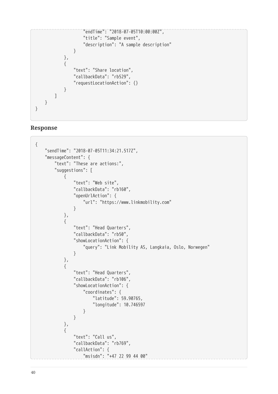```
 "endTime": "2018-07-05T10:00:00Z",
                    "title": "Sample event",
                    "description": "A sample description"
  }
            },
 \{ "text": "Share location",
                "callbackData": "rb529",
                "requestLocationAction": {}
            }
        ]
    }
}
```

```
{
    "sendTime": "2018-07-05T11:34:21.517Z",
    "messageContent": {
        "text": "These are actions:",
        "suggestions": [
            {
               "text": "Web site",
               "callbackData": "rb160",
               "openUrlAction": {
                   "url": "https://www.linkmobility.com"
  }
           },
 \{ "text": "Head Quarters",
               "callbackData": "rb50",
               "showLocationAction": {
                   "query": "Link Mobility AS, Langkaia, Oslo, Norwegen"
  }
           },
 \{ "text": "Head Quarters",
               "callbackData": "rb106",
              "showLocationAction": {
                   "coordinates": {
                       "latitude": 59.90765,
                       "longitude": 10.746597
  }
  }
           },
 \{ "text": "Call us",
               "callbackData": "rb769",
               "callAction": {
                   "msisdn": "+47 22 99 44 00"
```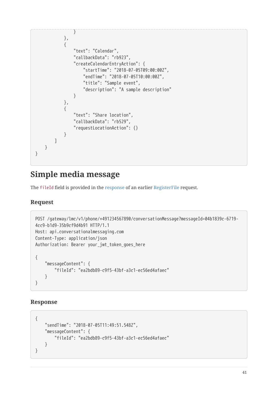```
 }
           },
 \{ "text": "Calendar",
               "callbackData": "rb923",
               "createCalendarEntryAction": {
                   "startTime": "2018-07-05T09:00:00Z",
                   "endTime": "2018-07-05T10:00:00Z",
                   "title": "Sample event",
                   "description": "A sample description"
  }
           },
 \{ "text": "Share location",
               "callbackData": "rb529",
               "requestLocationAction": {}
  }
        ]
    }
}
```
# **Simple media message**

The fileId field is provided in the response of an earlier RegisterFile request.

### **Request**

```
POST /gateway/lmc/v1/phone/+491234567890/conversationMessage?messageId=04b1839c-6719-
4cc9-b1d9-35b9cf9d4b91 HTTP/1.1
Host: api.conversationalmessaging.com
Content-Type: application/json
Authorization: Bearer your_jwt_token_goes_here
{
     "messageContent": {
         "fileId": "ea2bdb89-c9f5-43bf-a3c1-ec56ed4afaec"
     }
}
```

```
{
     "sendTime": "2018-07-05T11:49:51.548Z",
     "messageContent": {
         "fileId": "ea2bdb89-c9f5-43bf-a3c1-ec56ed4afaec"
     }
}
```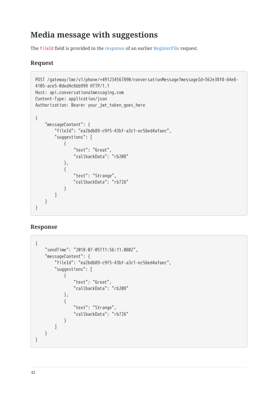## **Media message with suggestions**

The fileId field is provided in the response of an earlier RegisterFile request.

### **Request**

```
POST /gateway/lmc/v1/phone/+491234567890/conversationMessage?messageId=562e38f8-64e8-
4105-ace5-0ded4c6bb999 HTTP/1.1
Host: api.conversationalmessaging.com
Content-Type: application/json
Authorization: Bearer your_jwt_token_goes_here
{
     "messageContent": {
         "fileId": "ea2bdb89-c9f5-43bf-a3c1-ec56ed4afaec",
         "suggestions": [
             {
                 "text": "Great",
                 "callbackData": "rb208"
             },
 \{ "text": "Strange",
                 "callbackData": "rb726"
  }
        ]
    }
}
```

```
{
    "sendTime": "2018-07-05T11:56:11.080Z",
    "messageContent": {
        "fileId": "ea2bdb89-c9f5-43bf-a3c1-ec56ed4afaec",
        "suggestions": [
 \{ "text": "Great",
                "callbackData": "rb208"
            },
 \{ "text": "Strange",
                "callbackData": "rb726"
  }
        ]
    }
}
```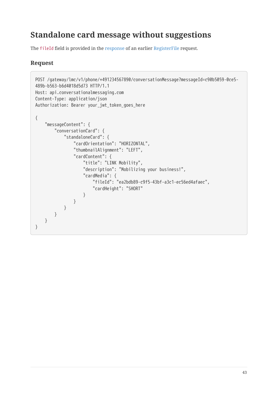# **Standalone card message without suggestions**

The fileId field is provided in the response of an earlier RegisterFile request.

```
POST /gateway/lmc/v1/phone/+491234567890/conversationMessage?messageId=c90b5059-0ce5-
489b-b563-b6d4018d5d73 HTTP/1.1
Host: api.conversationalmessaging.com
Content-Type: application/json
Authorization: Bearer your_jwt_token_goes_here
{
     "messageContent": {
         "conversationCard": {
             "standaloneCard": {
                 "cardOrientation": "HORIZONTAL",
                 "thumbnailAlignment": "LEFT",
                 "cardContent": {
                     "title": "LINK Mobility",
                     "description": "Mobilizing your business!",
                     "cardMedia": {
                         "fileId": "ea2bdb89-c9f5-43bf-a3c1-ec56ed4afaec",
                        "cardHeight": "SHORT"
  }
  }
            }
        }
    }
}
```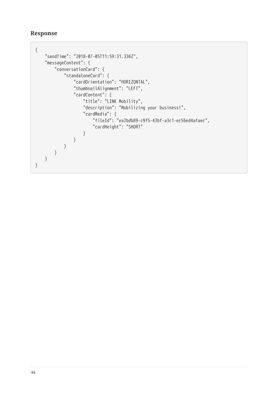```
{
     "sendTime": "2018-07-05T11:59:31.336Z",
    "messageContent": {
         "conversationCard": {
            "standaloneCard": {
                "cardOrientation": "HORIZONTAL",
                "thumbnailAlignment": "LEFT",
                "cardContent": {
                    "title": "LINK Mobility",
                    "description": "Mobilizing your business!",
                    "cardMedia": {
                        "fileId": "ea2bdb89-c9f5-43bf-a3c1-ec56ed4afaec",
                        "cardHeight": "SHORT"
  }
  }
           }
       }
    }
}
```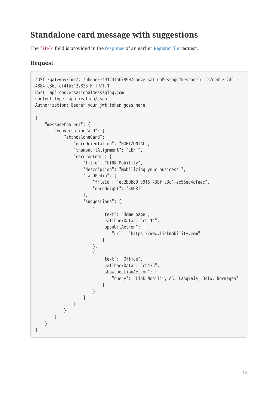# **Standalone card message with suggestions**

The fileId field is provided in the response of an earlier RegisterFile request.

```
POST /gateway/lmc/v1/phone/+491234567890/conversationMessage?messageId=fa7ecdce-2d61-
4884-a36e-ef4fb5122826 HTTP/1.1
Host: api.conversationalmessaging.com
Content-Type: application/json
Authorization: Bearer your jwt token goes here
{
    "messageContent": {
        "conversationCard": {
           "standaloneCard": {
               "cardOrientation": "HORIZONTAL",
               "thumbnailAlignment": "LEFT",
               "cardContent": {
                   "title": "LINK Mobility",
                   "description": "Mobilizing your business!",
                   "cardMedia": {
                       "fileId": "ea2bdb89-c9f5-43bf-a3c1-ec56ed4afaec",
                      "cardHeight": "SHORT"
 , and the state \} , and the state \} ,
                   "suggestions": [
 {1 \over 2} "text": "Home page",
                          "callbackData": "rb114",
                          "openUrlAction": {
                              "url": "https://www.linkmobility.com"
  }
 \}, \{{1 \over 2} "text": "Office",
                          "callbackData": "rb436",
                          "showLocationAction": {
                              "query": "Link Mobility AS, Langkaia, Oslo, Norwegen"
  }
  }
  ]
  }
           }
       }
    }
}
```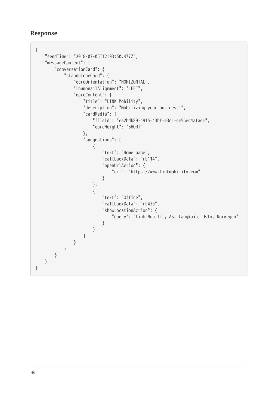```
Response
```

```
{
    "sendTime": "2018-07-05T12:03:50.477Z",
    "messageContent": {
        "conversationCard": {
           "standaloneCard": {
               "cardOrientation": "HORIZONTAL",
               "thumbnailAlignment": "LEFT",
               "cardContent": {
                  "title": "LINK Mobility",
                  "description": "Mobilizing your business!",
                  "cardMedia": {
                     "fileId": "ea2bdb89-c9f5-43bf-a3c1-ec56ed4afaec",
                     "cardHeight": "SHORT"
                  },
                  "suggestions": [
 {1 \over 2} "text": "Home page",
                         "callbackData": "rb114",
                         "openUrlAction": {
                            "url": "https://www.linkmobility.com"
  }
 \}, \{{1 \over 2} "text": "Office",
                         "callbackData": "rb436",
                         "showLocationAction": {
                            "query": "Link Mobility AS, Langkaia, Oslo, Norwegen"
  }
  }
  ]
              }
          }
       }
   }
}
```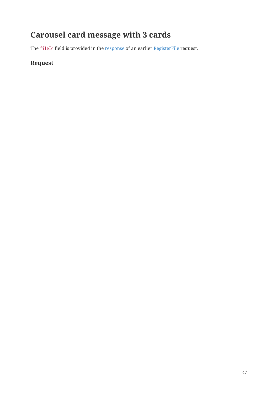# **Carousel card message with 3 cards**

The fileId field is provided in the response of an earlier RegisterFile request.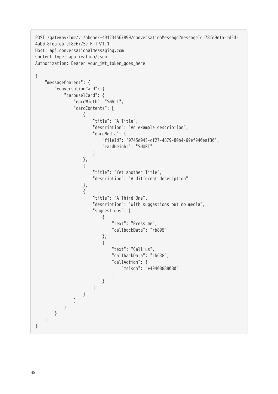```
POST /gateway/lmc/v1/phone/+491234567890/conversationMessage?messageId=78fe0cfa-cd2d-
4ab0-8fea-ebfef8c6775e HTTP/1.1
Host: api.conversationalmessaging.com
Content-Type: application/json
Authorization: Bearer your_jwt_token_goes_here
{
    "messageContent": {
       "conversationCard": {
          "carouselCard": {
              "cardWidth": "SMALL",
              "cardContents": [
 \{ "title": "A Title",
                    "description": "An example description",
                    "cardMedia": {
                        "fileId": "0745d045-cf27-4879-80b4-69ef940eaf36",
                        "cardHeight": "SHORT"
  }
                 },
 \{ "title": "Yet another Title",
                    "description": "A different description"
                 },
 \{ "title": "A Third One",
                    "description": "With suggestions but no media",
                    "suggestions": [
 \{ "text": "Press me",
                           "callbackData": "rb895"
 , and the contract of \} ,
 \{ "text": "Call us",
                           "callbackData": "rb638",
                           "callAction": {
                              "msisdn": "+49408888080"
  }
  }
  ]
  }
  ]
          }
       }
    }
}
```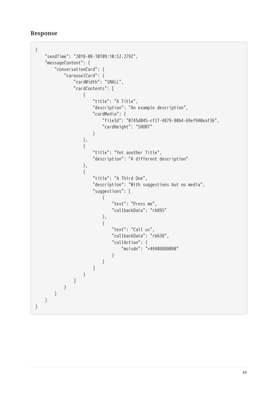```
Response
```

```
{
    "sendTime": "2018-08-10T09:10:52.279Z",
    "messageContent": {
       "conversationCard": {
           "carouselCard": {
              "cardWidth": "SMALL",
              "cardContents": [
 \{ "title": "A Title",
                     "description": "An example description",
                     "cardMedia": {
                        "fileId": "0745d045-cf27-4879-80b4-69ef940eaf36",
                        "cardHeight": "SHORT"
  }
                 },
 \{ "title": "Yet another Title",
                     "description": "A different description"
                 },
 \{ "title": "A Third One",
                     "description": "With suggestions but no media",
                     "suggestions": [
 \{ "text": "Press me",
                           "callbackData": "rb895"
 , and the contract of \{ \} , \{ \}\{ "text": "Call us",
                           "callbackData": "rb638",
                           "callAction": {
                               "msisdn": "+49408888080"
  }
  }
 \sim 100 \sim 100 \sim 100 \sim 100 \sim 100 \sim 100 \sim }
  ]
          }
      }
   }
}
```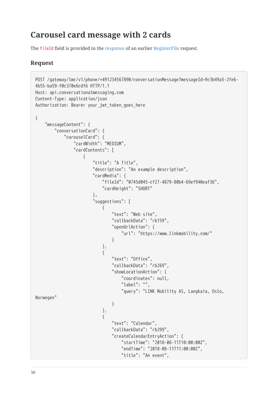# **Carousel card message with 2 cards**

The fileId field is provided in the response of an earlier RegisterFile request.

```
POST /gateway/lmc/v1/phone/+491234567890/conversationMessage?messageId=9c3b49a5-2fe6-
4b55-ba59-f0c370e6cdf6 HTTP/1.1
Host: api.conversationalmessaging.com
Content-Type: application/json
Authorization: Bearer your jwt token goes here
{
     "messageContent": {
         "conversationCard": {
             "carouselCard": {
                 "cardWidth": "MEDIUM",
                 "cardContents": [
 \{ "title": "A Title",
                         "description": "An example description",
                         "cardMedia": {
                             "fileId": "0745d045-cf27-4879-80b4-69ef940eaf36",
                             "cardHeight": "SHORT"
 \}, \{, \}, \{, \}, \{, \}, \{, \}, \{, \}, \{, \}, \{, \}, \{, \}, \{, \}, \{, \}, \{, \}, \{, \}, \{, \}, \{, \}, \{, \}, \{, \}, \{, \}, \{, \},
                         "suggestions": [
 \{ "text": "Web site",
                                 "callbackData": "rb159",
                                 "openUrlAction": {
                                     "url": "https://www.linkmobility.com/"
  }
 , and the contract of \} ,
 \{ "text": "Office",
                                 "callbackData": "rb269",
                                 "showLocationAction": {
                                     "coordinates": null,
                                     "label": "",
                                     "query": "LINK Mobility AS, Langkaia, Oslo,
Norwegen"
  }
 , and the contract of \{ \} , \{ \}\{ "text": "Calendar",
                                 "callbackData": "rb299",
                                 "createCalendarEntryAction": {
                                     "startTime": "2018-08-11T10:00:00Z",
                                     "endTime": "2018-08-11T11:00:00Z",
                                     "title": "An event",
```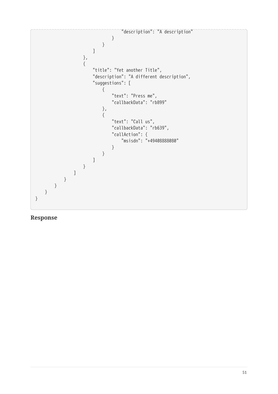"description": "A description" } } ] },  $\{$  "title": "Yet another Title", "description": "A different description", "suggestions": [  $\{$  "text": "Press me", "callbackData": "rb899" , and the contract of  $\}$  ,  $\{$  "text": "Call us", "callbackData": "rb639", "callAction": { "msisdn": "+49408888080" } } ] } ] } } } }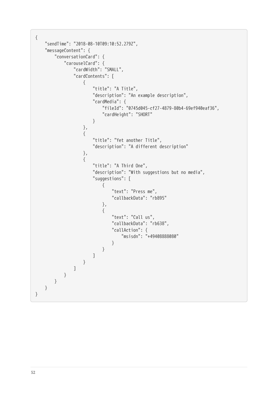```
{
    "sendTime": "2018-08-10T09:10:52.279Z",
    "messageContent": {
       "conversationCard": {
          "carouselCard": {
             "cardWidth": "SMALL",
             "cardContents": [
 \{ "title": "A Title",
                   "description": "An example description",
                   "cardMedia": {
                       "fileId": "0745d045-cf27-4879-80b4-69ef940eaf36",
                       "cardHeight": "SHORT"
  }
                },
 \{ "title": "Yet another Title",
                   "description": "A different description"
                },
 \{ "title": "A Third One",
                   "description": "With suggestions but no media",
                   "suggestions": [
 \{ "text": "Press me",
                          "callbackData": "rb895"
 , and the contract of \} ,
 \{ "text": "Call us",
                          "callbackData": "rb638",
                          "callAction": {
                             "msisdn": "+49408888080"
  }
  }
  ]
  }
             ]
         }
      }
   }
}
```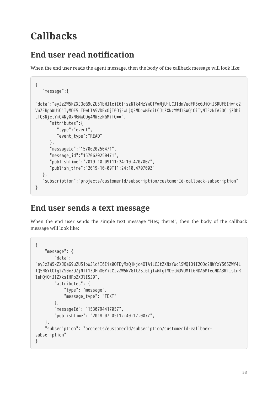# **Callbacks**

### **End user read notification**

When the end user reads the agent message, then the body of the callback message will look like:

```
{
    "message":{
"data":"eyJzZW5kZXJQaG9uZU51bWJlciI6IiszNTk4NzYwOTYwMjUiLCJldmVudFR5cGUiOiJSRUFEIiwic2
VuZFRpbWUiOiIyMDE5LTEwLTA5VDExOjI0OjEwLjQ3MDcwMFoiLCJtZXNzYWdlSWQiOiIyMTEzNTA2OC1jZDhi
LTQ3NjctYmQ4Ny0xNGMwODg4MWEzNGMifQ==",
       "attributes":{
          "type":"event",
          "event_type":"READ"
       },
       "messageId":"1570620250471",
       "message_id":"1570620250471",
       "publishTime":"2019-10-09T11:24:10.470700Z",
       "publish_time":"2019-10-09T11:24:10.470700Z"
    },
    "subscription":"projects/customerId/subscription/customerId-callback-subscription"
}
```
### **End user sends a text message**

When the end user sends the simple text message "Hey, there!", then the body of the callback message will look like:

```
{
     "message": {
         "data":
"eyJzZW5kZXJQaG9uZU51bWJlciI6Iis0OTEyMzQ1Njc4OTAiLCJtZXNzYWdlSWQiOiI2ODc2NWYzYS05ZWY4L
TQ5NGYtOTg2ZS0xZDZjNTI1ZDFhOGYiLCJzZW5kVGltZSI6IjIwMTgtMDctMDVUMTI6NDA6MTcuMDA3WiIsInR
leHQiOiJIZXksIHRoZXJlISJ9",
         "attributes": {
             "type": "message",
             "message_type": "TEXT"
         },
         "messageId": "1530794417057",
         "publishTime": "2018-07-05T12:40:17.007Z",
     },
     "subscription": "projects/customerId/subscription/customerId-callback-
subscription"
}
```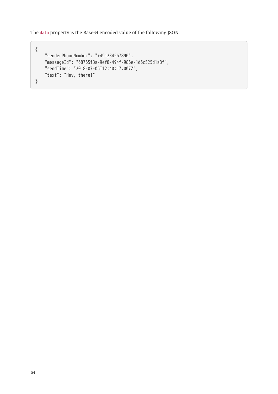```
{
     "senderPhoneNumber": "+491234567890",
     "messageId": "68765f3a-9ef8-494f-986e-1d6c525d1a8f",
     "sendTime": "2018-07-05T12:40:17.007Z",
    "text": "Hey, there!"
}
```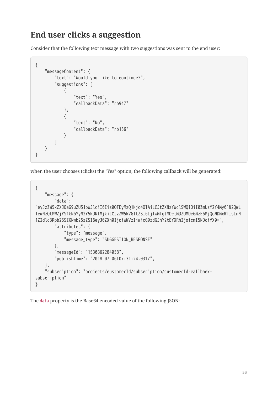### **End user clicks a suggestion**

Consider that the following text message with two suggestions was sent to the end user:

```
{
    "messageContent": {
        "text": "Would you like to continue?",
        "suggestions": [
 \{ "text": "Yes",
                "callbackData": "rb947"
            },
 \{ "text": "No",
                "callbackData": "rb156"
  }
        ]
    }
}
```
when the user chooses (clicks) the "Yes" option, the following callback will be generated:

```
{
     "message": {
         "data":
"eyJzZW5kZXJQaG9uZU51bWJlciI6Iis0OTEyMzQ1Njc4OTAiLCJtZXNzYWdlSWQiOiI0ZmUzY2Y4My01N2QwL
TcwNzQtMWZjYS1kNGYyM2Y5NDNlMjkiLCJzZW5kVGltZSI6IjIwMTgtMDctMDZUMDc6MzE6MjQuMDMxWiIsInN
1Z2dlc3Rpb25SZXNwb25zZSI6eyJ0ZXh0IjoiWWVzIiwicG9zdGJhY2tEYXRhIjoicmI5NDcifX0=",
         "attributes": {
             "type": "message",
             "message_type": "SUGGESTION_RESPONSE"
         },
         "messageId": "1530862284058",
         "publishTime": "2018-07-06T07:31:24.031Z",
     },
     "subscription": "projects/customerId/subscription/customerId-callback-
subscription"
}
```
The data property is the Base64 encoded value of the following JSON: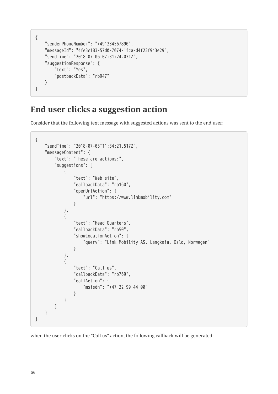```
{
     "senderPhoneNumber": "+491234567890",
     "messageId": "4fe3cf83-57d0-7074-1fca-d4f23f943e29",
     "sendTime": "2018-07-06T07:31:24.031Z",
     "suggestionResponse": {
         "text": "Yes",
         "postbackData": "rb947"
     }
}
```
### **End user clicks a suggestion action**

Consider that the following text message with suggested actions was sent to the end user:

```
{
    "sendTime": "2018-07-05T11:34:21.517Z",
    "messageContent": {
        "text": "These are actions:",
        "suggestions": [
 \{ "text": "Web site",
               "callbackData": "rb160",
                "openUrlAction": {
                   "url": "https://www.linkmobility.com"
  }
           },
 \{ "text": "Head Quarters",
               "callbackData": "rb50",
                "showLocationAction": {
                   "query": "Link Mobility AS, Langkaia, Oslo, Norwegen"
  }
            },
 \{ "text": "Call us",
               "callbackData": "rb769",
                "callAction": {
                   "msisdn": "+47 22 99 44 00"
  }
            }
        ]
    }
}
```
when the user clicks on the "Call us" action, the following callback will be generated: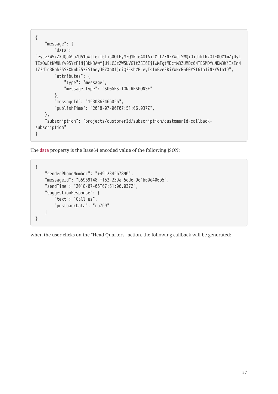```
{
     "message": {
         "data":
"eyJzZW5kZXJQaG9uZU51bWJlciI6Iis0OTEyMzQ1Njc4OTAiLCJtZXNzYWdlSWQiOiJiNTk2OTE0OC1mZjUyL
TIzOWEtNWNkYy05YzFiNjBkNDAwYjUiLCJzZW5kVGltZSI6IjIwMTgtMDctMDZUMDc6NTE6MDYuMDM3WiIsInN
1Z2dlc3Rpb25SZXNwb25zZSI6eyJ0ZXh0IjoiQ2FsbCB1cyIsInBvc3RiYWNrRGF0YSI6InJiNzY5In19",
         "attributes": {
             "type": "message",
             "message_type": "SUGGESTION_RESPONSE"
         },
         "messageId": "1530863466056",
         "publishTime": "2018-07-06T07:51:06.037Z",
     },
     "subscription": "projects/customerId/subscription/customerId-callback-
subscription"
}
```

```
{
     "senderPhoneNumber": "+491234567890",
     "messageId": "b5969148-ff52-239a-5cdc-9c1b60d400b5",
     "sendTime": "2018-07-06T07:51:06.037Z",
     "suggestionResponse": {
         "text": "Call us",
         "postbackData": "rb769"
     }
}
```
when the user clicks on the "Head Quarters" action, the following callback will be generated: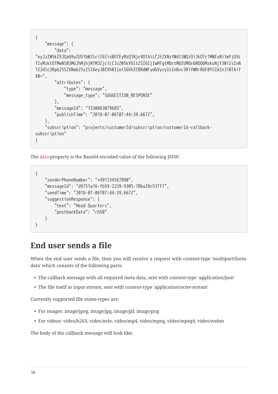```
{
     "message": {
         "data":
"eyJzZW5kZXJQaG9uZU51bWJlciI6Iis0OTEyMzQ1Njc4OTAiLCJtZXNzYWdlSWQiOiJkOTc1MWExNi1mYjU5L
TIyMzktOTMwNS03MGJhMjhjNTM3ZjciLCJzZW5kVGltZSI6IjIwMTgtMDctMDZUMDc6NDQ6MzkuNjY3WiIsInN
1Z2dlc3Rpb25SZXNwb25zZSI6eyJ0ZXh0IjoiSGVhZCBRdWFydGVycyIsInBvc3RiYWNrRGF0YSI6InJiNTAif
X0 = " "attributes": {
             "type": "message",
             "message_type": "SUGGESTION_RESPONSE"
         },
         "messageId": "1530863079685",
         "publishTime": "2018-07-06T07:44:39.667Z",
     },
     "subscription": "projects/customerId/subscription/customerId-callback-
subscription"
}
```

```
{
     "senderPhoneNumber": "+491234567890",
     "messageId": "d9751a16-fb59-2239-9305-70ba28c537f7",
     "sendTime": "2018-07-06T07:44:39.667Z",
     "suggestionResponse": {
         "text": "Head Quarters",
         "postbackData": "rb50"
     }
}
```
### **End user sends a file**

When the end user sends a file, then you will receive a request with content-type 'multipart/formdata' which consists of the following parts:

- The callback message with all required meta data, sent with content-type 'application/json'
- The file itself as input stream, sent with content-type 'application/octet-stream'

Currently supported file mime-types are:

- For images: image/jpeg, image/jpg, image/gif, image/png
- For videos: video/h263, video/m4v, video/mp4, video/mpeg, video/mpeg4, video/webm

The body of the callback message will look like: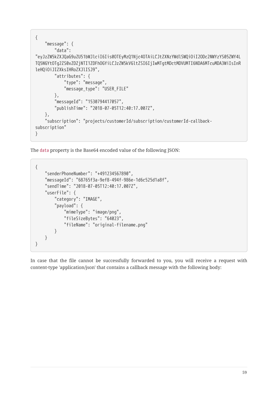```
{
     "message": {
         "data":
"eyJzZW5kZXJQaG9uZU51bWJlciI6Iis0OTEyMzQ1Njc4OTAiLCJtZXNzYWdlSWQiOiI2ODc2NWYzYS05ZWY4L
TQ5NGYtOTg2ZS0xZDZjNTI1ZDFhOGYiLCJzZW5kVGltZSI6IjIwMTgtMDctMDVUMTI6NDA6MTcuMDA3WiIsInR
leHQiOiJIZXksIHRoZXJlISJ9",
         "attributes": {
             "type": "message",
             "message_type": "USER_FILE"
         },
         "messageId": "1530794417057",
         "publishTime": "2018-07-05T12:40:17.007Z",
     },
     "subscription": "projects/customerId/subscription/customerId-callback-
subscription"
}
```

```
{
     "senderPhoneNumber": "+491234567890",
     "messageId": "68765f3a-9ef8-494f-986e-1d6c525d1a8f",
     "sendTime": "2018-07-05T12:40:17.007Z",
     "userFile": {
         "category": "IMAGE",
         "payload": {
             "mimeType": "image/png",
             "fileSizeBytes": "64023",
             "fileName": "original-filename.png"
         }
     }
}
```
In case that the file cannot be successfully forwarded to you, you will receive a request with content-type 'application/json' that contains a callback message with the following body: